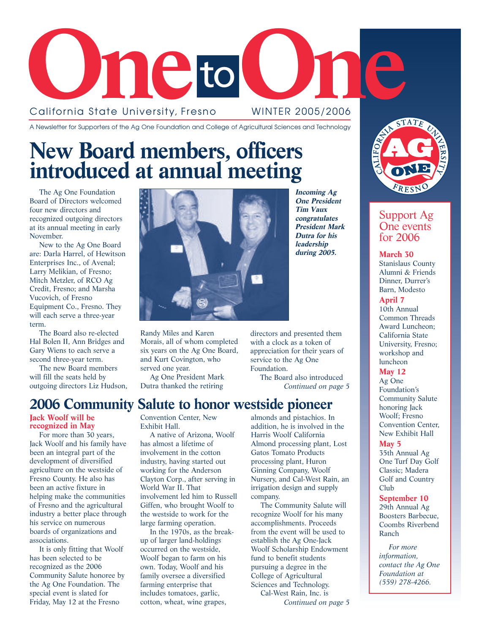

A Newsletter for Supporters of the Ag One Foundation and College of Agricultural Sciences and Technology

# **New Board members, officers introduced at annual meeting**

The Ag One Foundation Board of Directors welcomed four new directors and recognized outgoing directors at its annual meeting in early November.

New to the Ag One Board are: Darla Harrel, of Hewitson Enterprises Inc., of Avenal; Larry Melikian, of Fresno; Mitch Metzler, of RCO Ag Credit, Fresno; and Marsha Vucovich, of Fresno Equipment Co., Fresno. They will each serve a three-year term.

The Board also re-elected Hal Bolen II, Ann Bridges and Gary Wiens to each serve a second three-year term.

The new Board members will fill the seats held by

outgoing directors Liz Hudson,

**Jack Woolf will be**

**recognized in May** For more than 30 years, Jack Woolf and his family have been an integral part of the development of diversified agriculture on the westside of Fresno County. He also has been an active fixture in helping make the communities of Fresno and the agricultural industry a better place through his service on numerous boards of organizations and associations.

It is only fitting that Woolf has been selected to be recognized as the 2006 Community Salute honoree by the Ag One Foundation. The special event is slated for Friday, May 12 at the Fresno



Randy Miles and Karen Morais, all of whom completed six years on the Ag One Board, and Kurt Covington, who served one year.

Ag One President Mark Dutra thanked the retiring

**Incoming Ag One President Tim Vaux congratulates President Mark Dutra for his leadership during 2005.**

directors and presented them with a clock as a token of appreciation for their years of service to the Ag One Foundation.

The Board also introduced *Continued on page 5*

## **2006 Community Salute to honor westside pioneer**

Convention Center, New Exhibit Hall.

A native of Arizona, Woolf has almost a lifetime of involvement in the cotton industry, having started out working for the Anderson Clayton Corp., after serving in World War II. That involvement led him to Russell Giffen, who brought Woolf to the westside to work for the large farming operation.

In the 1970s, as the breakup of larger land-holdings occurred on the westside, Woolf began to farm on his own. Today, Woolf and his family oversee a diversified farming enterprise that includes tomatoes, garlic, cotton, wheat, wine grapes,

almonds and pistachios. In addition, he is involved in the Harris Woolf California Almond processing plant, Lost Gatos Tomato Products processing plant, Huron Ginning Company, Woolf Nursery, and Cal-West Rain, an irrigation design and supply company.

The Community Salute will recognize Woolf for his many accomplishments. Proceeds from the event will be used to establish the Ag One-Jack Woolf Scholarship Endowment fund to benefit students pursuing a degree in the College of Agricultural Sciences and Technology. Cal-West Rain, Inc. is

*Continued on page 5*



## Support Ag One events for 2006

**March 30** Stanislaus County Alumni & Friends Dinner, Durrer's Barn, Modesto **April 7** 10th Annual Common Threads Award Luncheon; California State University, Fresno; workshop and

### luncheon **May 12**

Ag One Foundation's Community Salute honoring Jack Woolf; Fresno Convention Center, New Exhibit Hall

**May 5**

35th Annual Ag One Turf Day Golf Classic; Madera Golf and Country Club

**September 10** 29th Annual Ag Boosters Barbecue, Coombs Riverbend Ranch

*For more information, contact the Ag One Foundation at (559) 278-4266.*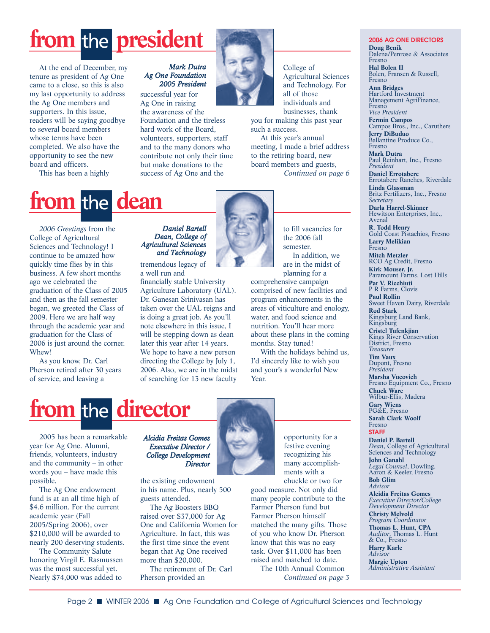# from the **president**

At the end of December, my tenure as president of Ag One came to a close, so this is also my last opportunity to address the Ag One members and supporters. In this issue, readers will be saying goodbye to several board members whose terms have been completed. We also have the opportunity to see the new board and officers.

This has been a highly

### *Mark Dutra Ag One Foundation 2005 President*

successful year for Ag One in raising

the awareness of the Foundation and the tireless hard work of the Board, volunteers, supporters, staff and to the many donors who contribute not only their time but make donations to the success of Ag One and the



College of Agricultural Sciences and Technology. For all of those individuals and businesses, thank

you for making this past year such a success.

At this year's annual meeting, I made a brief address to the retiring board, new board members and guests, *Continued on page 6*

# **from the dean**

*2006 Greetings* from the College of Agricultural Sciences and Technology! I continue to be amazed how quickly time flies by in this business. A few short months ago we celebrated the graduation of the Class of 2005 and then as the fall semester began, we greeted the Class of 2009. Here we are half way through the academic year and graduation for the Class of 2006 is just around the corner. Whew!

As you know, Dr. Carl Pherson retired after 30 years of service, and leaving a

## *Daniel Bartell Dean, College of Agricultural Sciences and Technology*

tremendous legacy of a well run and

financially stable University Agriculture Laboratory (UAL). Dr. Ganesan Srinivasan has taken over the UAL reigns and is doing a great job. As you'll note elsewhere in this issue, I will be stepping down as dean later this year after 14 years. We hope to have a new person directing the College by July 1, 2006. Also, we are in the midst of searching for 13 new faculty



to fill vacancies for the 2006 fall semester. In addition, we are in the midst of planning for a

comprehensive campaign comprised of new facilities and program enhancements in the areas of viticulture and enology, water, and food science and nutrition. You'll hear more about these plans in the coming months. Stay tuned!

With the holidays behind us, I'd sincerely like to wish you and your's a wonderful New Year.

# from the director

2005 has been a remarkable year for Ag One. Alumni, friends, volunteers, industry and the community – in other words you – have made this possible.

The Ag One endowment fund is at an all time high of \$4.6 million. For the current academic year (Fall 2005/Spring 2006), over \$210,000 will be awarded to nearly 200 deserving students.

The Community Salute honoring Virgil E. Rasmussen was the most successful yet. Nearly \$74,000 was added to

### *Alcidia Freitas Gomes Executive Director / College Development Director*

the existing endowment in his name. Plus, nearly 500 guests attended.

The Ag Boosters BBQ raised over \$37,000 for Ag One and California Women for Agriculture. In fact, this was the first time since the event began that Ag One received more than \$20,000.

The retirement of Dr. Carl Pherson provided an



opportunity for a festive evening recognizing his many accomplishments with a chuckle or two for

good measure. Not only did many people contribute to the Farmer Pherson fund but Farmer Pherson himself matched the many gifts. Those of you who know Dr. Pherson know that this was no easy task. Over \$11,000 has been raised and matched to date.

The 10th Annual Common *Continued on page 3*

#### **2006 AG ONE DIRECTORS Doug Benik** Dalena/Penrose & Associates Fresno **Hal Bolen II** Bolen, Fransen & Russell, Fresno **Ann Bridges** Hartford Investment Management AgriFinance, Fresno *Vice President* **Fermin Campos**

Campos Bros., Inc., Caruthers **Jerry DiBuduo** Ballantine Produce Co.,

Fresno **Mark Dutra** Paul Reinhart, Inc., Fresno

*President* **Daniel Errotabere** Errotabere Ranches, Riverdale

**Linda Glassman** Britz Fertilizers, Inc., Fresno *Secretary*

**Darla Harrel-Skinner** Hewitson Enterprises, Inc., Avenal

**R. Todd Henry** Gold Coast Pistachios, Fresno

**Larry Melikian** Fresno **Mitch Metzler** RCO Ag Credit, Fresno **Kirk Mouser, Jr.** Paramount Farms, Lost Hills **Pat V. Ricchiuti** P R Farms, Clovis

**Paul Rollin** Sweet Haven Dairy, Riverdale **Rod Stark**

Kingsburg Land Bank, Kingsburg

**Cristel Tufenkjian** Kings River Conservation District, Fresno *Treasurer*

**Tim Vaux** Dupont, Fresno *President*

**Marsha Vucovich** Fresno Equipment Co., Fresno **Chuck Ware** Wilbur-Ellis, Madera

**Gary Wiens** PG&E, Fresno **Sarah Clark Woolf**

Fresno **STAFF**

**Daniel P. Bartell** *Dean*, College of Agricultural Sciences and Technology **John Ganahl** *Legal Counsel*, Dowling, Aaron & Keeler, Fresno **Bob Glim**

*Advisor* **Alcidia Freitas Gomes** *Executive Director/College Development Director* **Christy Melvold** *Program Coordinator* **Thomas L. Hunt, CPA** *Auditor*, Thomas L. Hunt & Co., Fresno

**Harry Karle** *Advisor* **Margie Upton** *Administrative Assistant*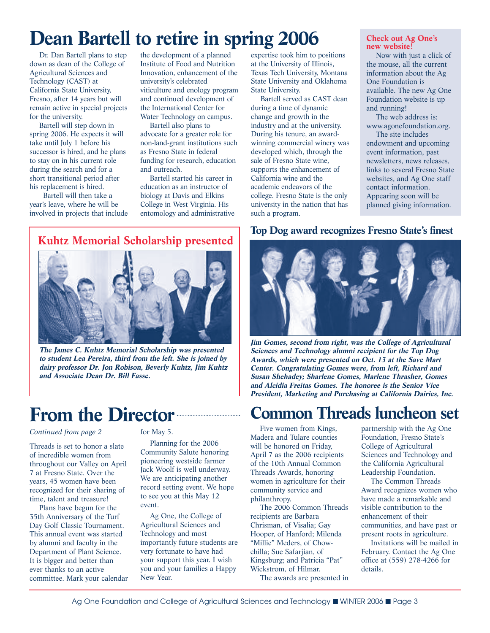# **Dean Bartell to retire in spring 2006**

Dr. Dan Bartell plans to step down as dean of the College of Agricultural Sciences and Technology (CAST) at California State University, Fresno, after 14 years but will remain active in special projects for the university.

Bartell will step down in spring 2006. He expects it will take until July 1 before his successor is hired, and he plans to stay on in his current role during the search and for a short transitional period after his replacement is hired.

Bartell will then take a year's leave, where he will be involved in projects that include the development of a planned Institute of Food and Nutrition Innovation, enhancement of the university's celebrated viticulture and enology program and continued development of the International Center for Water Technology on campus.

Bartell also plans to advocate for a greater role for non-land-grant institutions such as Fresno State in federal funding for research, education and outreach.

Bartell started his career in education as an instructor of biology at Davis and Elkins College in West Virginia. His entomology and administrative expertise took him to positions at the University of Illinois, Texas Tech University, Montana State University and Oklahoma State University.

Bartell served as CAST dean during a time of dynamic change and growth in the industry and at the university. During his tenure, an awardwinning commercial winery was developed which, through the sale of Fresno State wine, supports the enhancement of California wine and the academic endeavors of the college. Fresno State is the only university in the nation that has such a program.

### **Check out Ag One's new website!**

Now with just a click of the mouse, all the current information about the Ag One Foundation is available. The new Ag One Foundation website is up and running!

The web address is: www.agonefoundation.org. The site includes endowment and upcoming event information, past newsletters, news releases, links to several Fresno State websites, and Ag One staff contact information. Appearing soon will be planned giving information.

## **Kuhtz Memorial Scholarship presented**



**The James C. Kuhtz Memorial Scholarship was presented to student Lea Pereira, third from the left. She is joined by dairy professor Dr. Jon Robison, Beverly Kuhtz, Jim Kuhtz and Associate Dean Dr. Bill Fasse.**

## **From the Director**

#### *Continued from page 2*

Threads is set to honor a slate of incredible women from throughout our Valley on April 7 at Fresno State. Over the years, 45 women have been recognized for their sharing of time, talent and treasure!

Plans have begun for the 35th Anniversary of the Turf Day Golf Classic Tournament. This annual event was started by alumni and faculty in the Department of Plant Science. It is bigger and better than ever thanks to an active committee. Mark your calendar for May 5.

Planning for the 2006 Community Salute honoring pioneering westside farmer Jack Woolf is well underway. We are anticipating another record setting event. We hope to see you at this May 12 event.

Ag One, the College of Agricultural Sciences and Technology and most importantly future students are very fortunate to have had your support this year. I wish you and your families a Happy New Year.

## **Top Dog award recognizes Fresno State's finest**



**Jim Gomes, second from right, was the College of Agricultural Sciences and Technology alumni recipient for the Top Dog Awards, which were presented on Oct. 13 at the Save Mart Center. Congratulating Gomes were, from left, Richard and Susan Shehadey; Sharlene Gomes, Marlene Thrasher, Gomes and Alcidia Freitas Gomes. The honoree is the Senior Vice President, Marketing and Purchasing at California Dairies, Inc.**

## **Common Threads luncheon set**

Five women from Kings, Madera and Tulare counties will be honored on Friday, April 7 as the 2006 recipients of the 10th Annual Common Threads Awards, honoring women in agriculture for their community service and philanthropy.

The 2006 Common Threads recipients are Barbara Chrisman, of Visalia; Gay Hooper, of Hanford; Milenda "Millie" Meders, of Chowchilla; Sue Safarjian, of Kingsburg; and Patricia "Pat" Wickstrom, of Hilmar.

The awards are presented in

partnership with the Ag One Foundation, Fresno State's College of Agricultural Sciences and Technology and the California Agricultural Leadership Foundation.

The Common Threads Award recognizes women who have made a remarkable and visible contribution to the enhancement of their communities, and have past or present roots in agriculture.

Invitations will be mailed in February. Contact the Ag One office at (559) 278-4266 for details.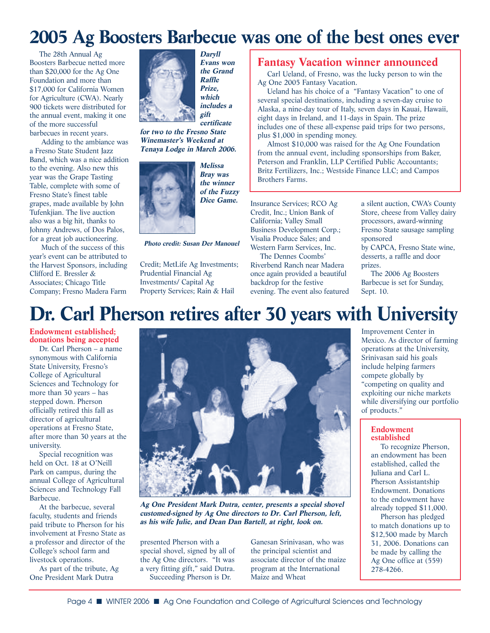## **2005 Ag Boosters Barbecue was one of the best ones ever**

The 28th Annual Ag Boosters Barbecue netted more than \$20,000 for the Ag One Foundation and more than \$17,000 for California Women for Agriculture (CWA). Nearly 900 tickets were distributed for the annual event, making it one of the more successful barbecues in recent years.

Adding to the ambiance was a Fresno State Student Jazz Band, which was a nice addition to the evening. Also new this year was the Grape Tasting Table, complete with some of Fresno State's finest table grapes, made available by John Tufenkjian. The live auction also was a big hit, thanks to Johnny Andrews, of Dos Palos, for a great job auctioneering.

Much of the success of this year's event can be attributed to the Harvest Sponsors, including Clifford E. Bressler & Associates; Chicago Title Company; Fresno Madera Farm



**Daryll Evans won the Grand Raffle Prize, which includes a gift certificate**

**for two to the Fresno State Winemaster's Weekend at Tenaya Lodge in March 2006.**



**Melissa Bray was the winner of the Fuzzy Dice Game.**

**Photo credit: Susan Der Manouel**

Credit; MetLife Ag Investments; Prudential Financial Ag Investments/ Capital Ag Property Services; Rain & Hail

### **Fantasy Vacation winner announced**

Carl Ueland, of Fresno, was the lucky person to win the Ag One 2005 Fantasy Vacation.

Ueland has his choice of a "Fantasy Vacation" to one of several special destinations, including a seven-day cruise to Alaska, a nine-day tour of Italy, seven days in Kauai, Hawaii, eight days in Ireland, and 11-days in Spain. The prize includes one of these all-expense paid trips for two persons, plus \$1,000 in spending money.

Almost \$10,000 was raised for the Ag One Foundation from the annual event, including sponsorships from Baker, Peterson and Franklin, LLP Certified Public Accountants; Britz Fertilizers, Inc.; Westside Finance LLC; and Campos Brothers Farms.

Insurance Services; RCO Ag Credit, Inc.; Union Bank of California; Valley Small Business Development Corp.; Visalia Produce Sales; and Western Farm Services, Inc.

The Dennes Coombs' Riverbend Ranch near Madera once again provided a beautiful backdrop for the festive evening. The event also featured a silent auction, CWA's County Store, cheese from Valley dairy processors, award-winning Fresno State sausage sampling sponsored by CAPCA, Fresno State wine, desserts, a raffle and door

prizes. The 2006 Ag Boosters Barbecue is set for Sunday, Sept. 10.

## **Dr. Carl Pherson retires after 30 years with University**

**Endowment established; donations being accepted**

Dr. Carl Pherson – a name synonymous with California State University, Fresno's College of Agricultural Sciences and Technology for more than 30 years – has stepped down. Pherson officially retired this fall as director of agricultural operations at Fresno State, after more than 30 years at the university.

Special recognition was held on Oct. 18 at O'Neill Park on campus, during the annual College of Agricultural Sciences and Technology Fall Barbecue.

At the barbecue, several faculty, students and friends paid tribute to Pherson for his involvement at Fresno State as a professor and director of the College's school farm and livestock operations.

As part of the tribute, Ag One President Mark Dutra



**Ag One President Mark Dutra, center, presents a special shovel customed-signed by Ag One directors to Dr. Carl Pherson, left, as his wife Julie, and Dean Dan Bartell, at right, look on.**

presented Pherson with a special shovel, signed by all of the Ag One directors. "It was a very fitting gift," said Dutra. Succeeding Pherson is Dr.

Ganesan Srinivasan, who was the principal scientist and associate director of the maize program at the International Maize and Wheat

Improvement Center in Mexico. As director of farming operations at the University, Srinivasan said his goals include helping farmers compete globally by "competing on quality and exploiting our niche markets while diversifying our portfolio of products."

#### **Endowment established**

To recognize Pherson, an endowment has been established, called the Juliana and Carl L. Pherson Assistantship Endowment. Donations to the endowment have already topped \$11,000.

Pherson has pledged to match donations up to \$12,500 made by March 31, 2006. Donations can be made by calling the Ag One office at (559) 278-4266.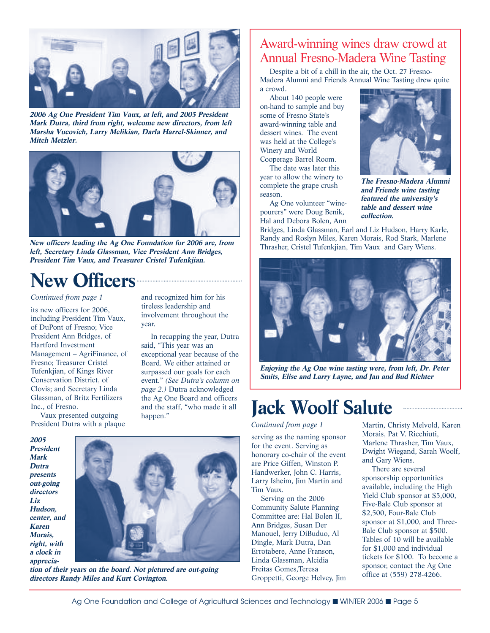

**2006 Ag One President Tim Vaux, at left, and 2005 President Mark Dutra, third from right, welcome new directors, from left Marsha Vucovich, Larry Melikian, Darla Harrel-Skinner, and Mitch Metzler.**



**New officers leading the Ag One Foundation for 2006 are, from left, Secretary Linda Glassman, Vice President Ann Bridges, President Tim Vaux, and Treasurer Cristel Tufenkjian.**

# **New Officers**

### *Continued from page 1*

its new officers for 2006, including President Tim Vaux, of DuPont of Fresno; Vice President Ann Bridges, of Hartford Investment Management – AgriFinance, of Fresno; Treasurer Cristel Tufenkjian, of Kings River Conservation District, of Clovis; and Secretary Linda Glassman, of Britz Fertilizers Inc., of Fresno.

Vaux presented outgoing President Dutra with a plaque and recognized him for his tireless leadership and involvement throughout the year.

In recapping the year, Dutra said, "This year was an exceptional year because of the Board. We either attained or surpassed our goals for each event." *(See Dutra's column on page 2.)* Dutra acknowledged the Ag One Board and officers and the staff, "who made it all happen."

**2005 President Mark Dutra presents out-going directors Liz Hudson, center, and Karen Morais, right, with a clock in apprecia-**



**tion of their years on the board. Not pictured are out-going directors Randy Miles and Kurt Covington.**

## Award-winning wines draw crowd at Annual Fresno-Madera Wine Tasting

Despite a bit of a chill in the air, the Oct. 27 Fresno-Madera Alumni and Friends Annual Wine Tasting drew quite a crowd.

About 140 people were on-hand to sample and buy some of Fresno State's award-winning table and dessert wines. The event was held at the College's Winery and World Cooperage Barrel Room.

The date was later this year to allow the winery to complete the grape crush season.

Ag One volunteer "winepourers" were Doug Benik, Hal and Debora Bolen, Ann



**The Fresno-Madera Alumni and Friends wine tasting featured the university's table and dessert wine collection.**

Bridges, Linda Glassman, Earl and Liz Hudson, Harry Karle, Randy and Roslyn Miles, Karen Morais, Rod Stark, Marlene Thrasher, Cristel Tufenkjian, Tim Vaux and Gary Wiens.



**Enjoying the Ag One wine tasting were, from left, Dr. Peter Smits, Elise and Larry Layne, and Jan and Bud Richter**

# **Jack Woolf Salute**

*Continued from page 1*

Tim Vaux.

serving as the naming sponsor for the event. Serving as honorary co-chair of the event are Price Giffen, Winston P. Handwerker, John C. Harris, Larry Isheim, Jim Martin and

Serving on the 2006 Community Salute Planning Committee are: Hal Bolen II, Ann Bridges, Susan Der Manouel, Jerry DiBuduo, Al Dingle, Mark Dutra, Dan Errotabere, Anne Franson, Linda Glassman, Alcidia Freitas Gomes,Teresa

Groppetti, George Helvey, Jim

Martin, Christy Melvold, Karen Morais, Pat V. Ricchiuti, Marlene Thrasher, Tim Vaux, Dwight Wiegand, Sarah Woolf, and Gary Wiens.

There are several sponsorship opportunities available, including the High Yield Club sponsor at \$5,000, Five-Bale Club sponsor at \$2,500, Four-Bale Club sponsor at \$1,000, and Three-Bale Club sponsor at \$500. Tables of 10 will be available for \$1,000 and individual tickets for \$100. To become a sponsor, contact the Ag One office at (559) 278-4266.